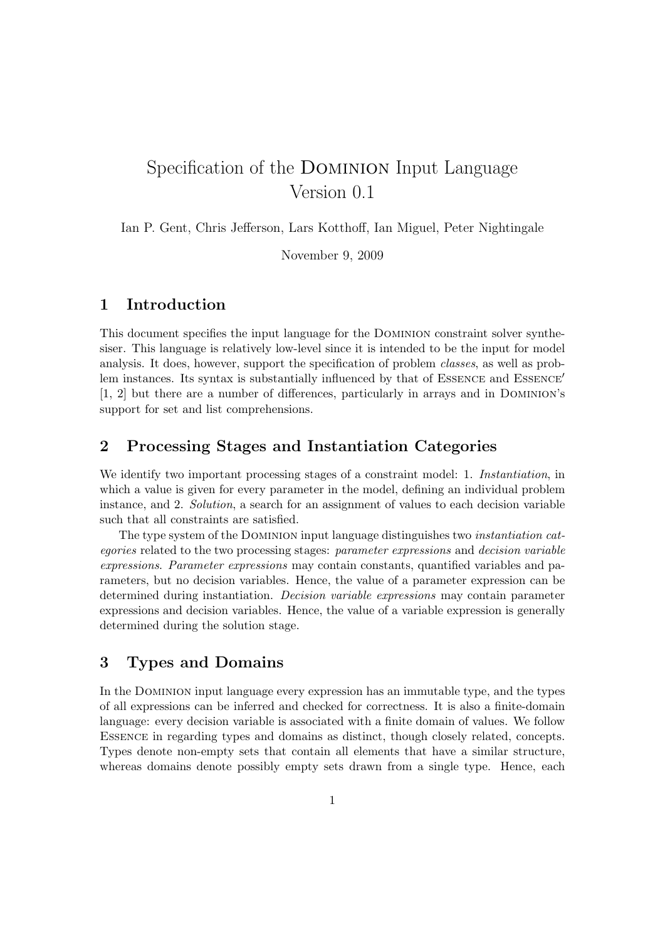# Specification of the Dominion Input Language Version 0.1

Ian P. Gent, Chris Jefferson, Lars Kotthoff, Ian Miguel, Peter Nightingale

November 9, 2009

# 1 Introduction

This document specifies the input language for the Dominion constraint solver synthesiser. This language is relatively low-level since it is intended to be the input for model analysis. It does, however, support the specification of problem classes, as well as problem instances. Its syntax is substantially influenced by that of  $ESSENCE$  and  $ESSENCE'$ [1, 2] but there are a number of differences, particularly in arrays and in Dominion's support for set and list comprehensions.

# 2 Processing Stages and Instantiation Categories

We identify two important processing stages of a constraint model: 1. *Instantiation*, in which a value is given for every parameter in the model, defining an individual problem instance, and 2. Solution, a search for an assignment of values to each decision variable such that all constraints are satisfied.

The type system of the Dominion input language distinguishes two instantiation categories related to the two processing stages: parameter expressions and decision variable expressions. Parameter expressions may contain constants, quantified variables and parameters, but no decision variables. Hence, the value of a parameter expression can be determined during instantiation. Decision variable expressions may contain parameter expressions and decision variables. Hence, the value of a variable expression is generally determined during the solution stage.

# 3 Types and Domains

In the Dominion input language every expression has an immutable type, and the types of all expressions can be inferred and checked for correctness. It is also a finite-domain language: every decision variable is associated with a finite domain of values. We follow Essence in regarding types and domains as distinct, though closely related, concepts. Types denote non-empty sets that contain all elements that have a similar structure, whereas domains denote possibly empty sets drawn from a single type. Hence, each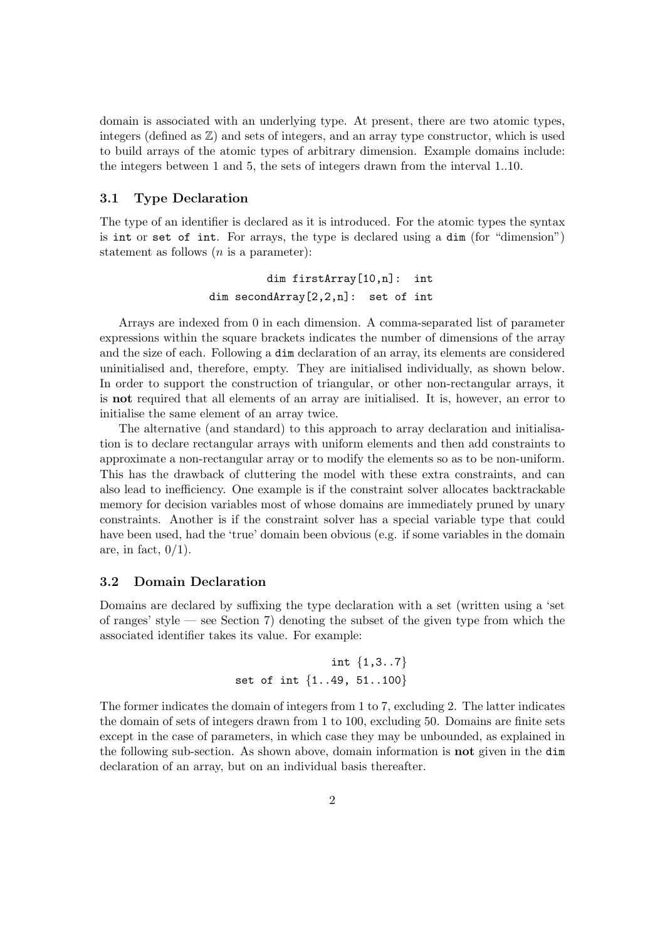domain is associated with an underlying type. At present, there are two atomic types, integers (defined as  $\mathbb{Z}$ ) and sets of integers, and an array type constructor, which is used to build arrays of the atomic types of arbitrary dimension. Example domains include: the integers between 1 and 5, the sets of integers drawn from the interval 1..10.

### 3.1 Type Declaration

The type of an identifier is declared as it is introduced. For the atomic types the syntax is int or set of int. For arrays, the type is declared using a dim (for "dimension") statement as follows  $(n \text{ is a parameter})$ :

> dim firstArray[10,n]: int dim secondArray[2,2,n]: set of int

Arrays are indexed from 0 in each dimension. A comma-separated list of parameter expressions within the square brackets indicates the number of dimensions of the array and the size of each. Following a dim declaration of an array, its elements are considered uninitialised and, therefore, empty. They are initialised individually, as shown below. In order to support the construction of triangular, or other non-rectangular arrays, it is not required that all elements of an array are initialised. It is, however, an error to initialise the same element of an array twice.

The alternative (and standard) to this approach to array declaration and initialisation is to declare rectangular arrays with uniform elements and then add constraints to approximate a non-rectangular array or to modify the elements so as to be non-uniform. This has the drawback of cluttering the model with these extra constraints, and can also lead to inefficiency. One example is if the constraint solver allocates backtrackable memory for decision variables most of whose domains are immediately pruned by unary constraints. Another is if the constraint solver has a special variable type that could have been used, had the 'true' domain been obvious (e.g. if some variables in the domain are, in fact,  $0/1$ ).

### 3.2 Domain Declaration

Domains are declared by suffixing the type declaration with a set (written using a 'set of ranges' style — see Section 7) denoting the subset of the given type from which the associated identifier takes its value. For example:

```
int {1,3..7}
set of int {1..49, 51..100}
```
The former indicates the domain of integers from 1 to 7, excluding 2. The latter indicates the domain of sets of integers drawn from 1 to 100, excluding 50. Domains are finite sets except in the case of parameters, in which case they may be unbounded, as explained in the following sub-section. As shown above, domain information is not given in the dim declaration of an array, but on an individual basis thereafter.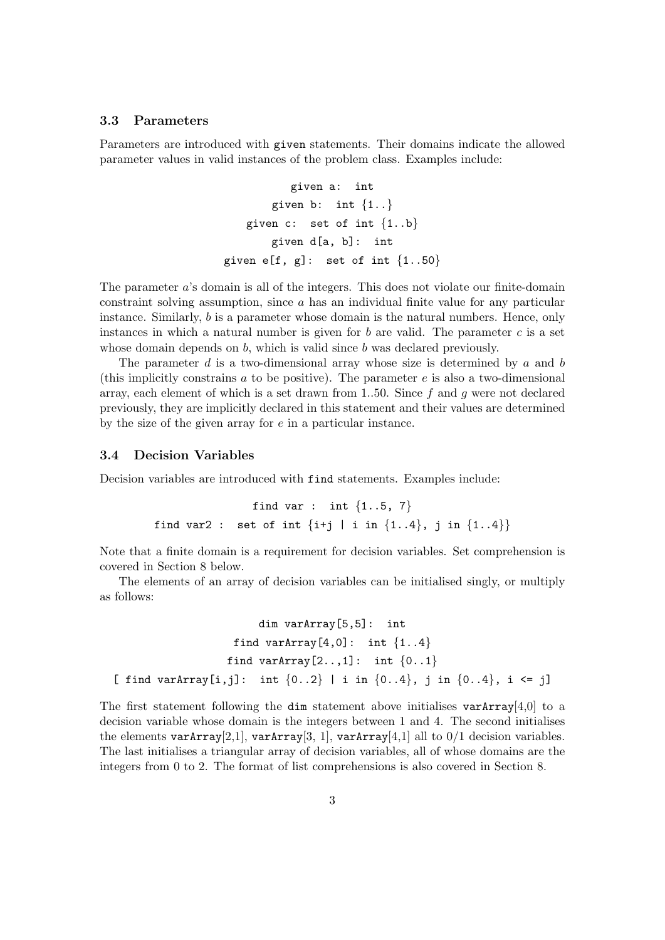### 3.3 Parameters

Parameters are introduced with given statements. Their domains indicate the allowed parameter values in valid instances of the problem class. Examples include:

```
given a: int
       given b: int \{1..\}given c: set of int \{1..b\}given d[a, b]: int
given e[f, g]: set of int \{1..50\}
```
The parameter a's domain is all of the integers. This does not violate our finite-domain constraint solving assumption, since  $a$  has an individual finite value for any particular instance. Similarly, b is a parameter whose domain is the natural numbers. Hence, only instances in which a natural number is given for b are valid. The parameter c is a set whose domain depends on  $b$ , which is valid since  $b$  was declared previously.

The parameter d is a two-dimensional array whose size is determined by a and b (this implicitly constrains  $\alpha$  to be positive). The parameter  $\epsilon$  is also a two-dimensional array, each element of which is a set drawn from 1..50. Since f and q were not declared previously, they are implicitly declared in this statement and their values are determined by the size of the given array for  $e$  in a particular instance.

#### 3.4 Decision Variables

Decision variables are introduced with find statements. Examples include:

find var : int  $\{1..5, 7\}$ find var2 : set of int  $\{i+j | i in \{1..4\}, j in \{1..4\}\}\$ 

Note that a finite domain is a requirement for decision variables. Set comprehension is covered in Section 8 below.

The elements of an array of decision variables can be initialised singly, or multiply as follows:

```
dim varArray[5,5]: int
                   find varArray[4,0]: int \{1..4\}find varArray[2..,1]: int \{0..1\}[ find varArray[i,j]: int \{0..2\} | i in \{0..4\}, j in \{0..4\}, i <= j]
```
The first statement following the dim statement above initialises varArray [4,0] to a decision variable whose domain is the integers between 1 and 4. The second initialises the elements varArray $[2,1]$ , varArray $[3, 1]$ , varArray $[4,1]$  all to  $0/1$  decision variables. The last initialises a triangular array of decision variables, all of whose domains are the integers from 0 to 2. The format of list comprehensions is also covered in Section 8.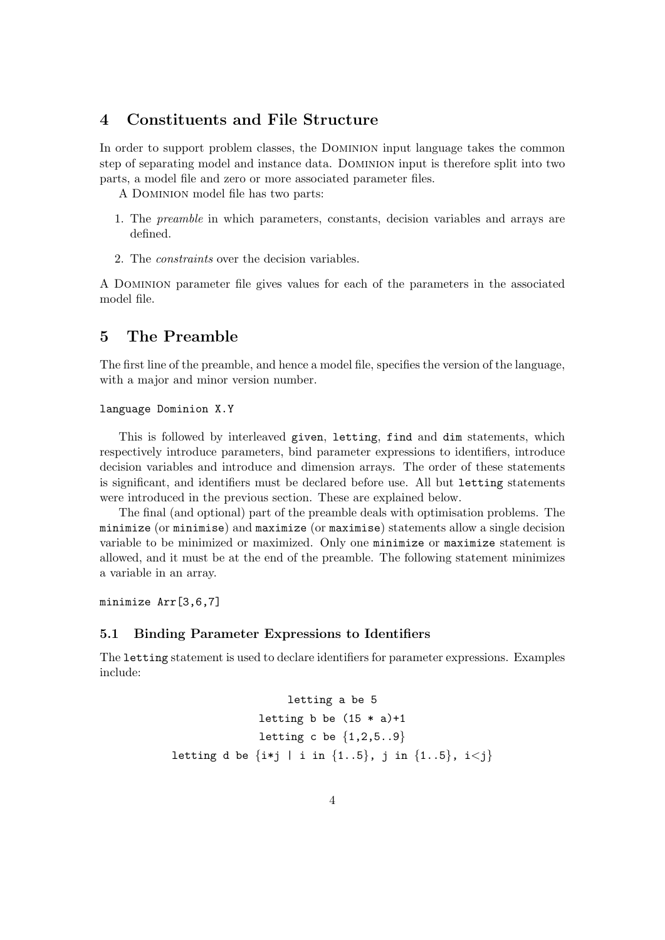### 4 Constituents and File Structure

In order to support problem classes, the Dominion input language takes the common step of separating model and instance data. Dominion input is therefore split into two parts, a model file and zero or more associated parameter files.

A Dominion model file has two parts:

- 1. The preamble in which parameters, constants, decision variables and arrays are defined.
- 2. The constraints over the decision variables.

A Dominion parameter file gives values for each of the parameters in the associated model file.

### 5 The Preamble

The first line of the preamble, and hence a model file, specifies the version of the language, with a major and minor version number.

#### language Dominion X.Y

This is followed by interleaved given, letting, find and dim statements, which respectively introduce parameters, bind parameter expressions to identifiers, introduce decision variables and introduce and dimension arrays. The order of these statements is significant, and identifiers must be declared before use. All but letting statements were introduced in the previous section. These are explained below.

The final (and optional) part of the preamble deals with optimisation problems. The minimize (or minimise) and maximize (or maximise) statements allow a single decision variable to be minimized or maximized. Only one minimize or maximize statement is allowed, and it must be at the end of the preamble. The following statement minimizes a variable in an array.

minimize Arr[3,6,7]

### 5.1 Binding Parameter Expressions to Identifiers

The letting statement is used to declare identifiers for parameter expressions. Examples include:

```
letting a be 5
               letting b be (15 * a)+1letting c be \{1,2,5..9\}letting d be \{i * j \mid i \in \{1..5\}, i \in \{1..5\}, i < j\}
```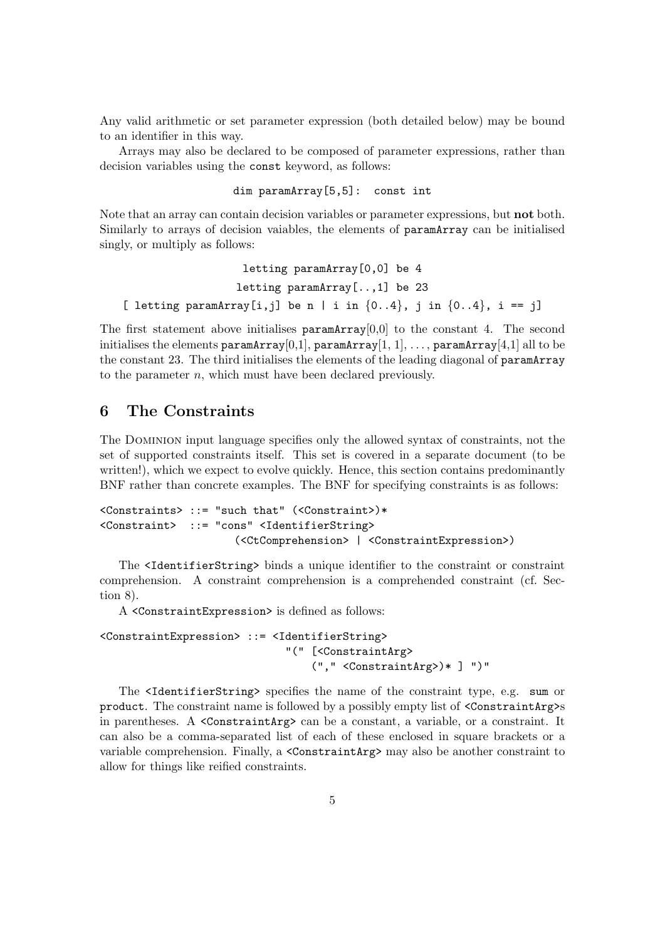Any valid arithmetic or set parameter expression (both detailed below) may be bound to an identifier in this way.

Arrays may also be declared to be composed of parameter expressions, rather than decision variables using the const keyword, as follows:

```
dim paramArray[5,5]: const int
```
Note that an array can contain decision variables or parameter expressions, but **not** both. Similarly to arrays of decision vaiables, the elements of paramArray can be initialised singly, or multiply as follows:

```
letting paramArray[0,0] be 4
                  letting paramArray[..,1] be 23
[ letting paramArray[i,j] be n | i in \{0..4\}, j in \{0..4\}, i == j]
```
The first statement above initialises  $paramArray[0,0]$  to the constant 4. The second initialises the elements paramArray[0,1], paramArray[1, 1], ..., paramArray[4,1] all to be the constant 23. The third initialises the elements of the leading diagonal of paramArray to the parameter  $n$ , which must have been declared previously.

# 6 The Constraints

The Dominion input language specifies only the allowed syntax of constraints, not the set of supported constraints itself. This set is covered in a separate document (to be written!), which we expect to evolve quickly. Hence, this section contains predominantly BNF rather than concrete examples. The BNF for specifying constraints is as follows:

```
<Constraints> ::= "such that" (<Constraint>)*
<Constraint> ::= "cons" <IdentifierString>
                     (<CtComprehension> | <ConstraintExpression>)
```
The <IdentifierString> binds a unique identifier to the constraint or constraint comprehension. A constraint comprehension is a comprehended constraint (cf. Section 8).

A <ConstraintExpression> is defined as follows:

```
<ConstraintExpression> ::= <IdentifierString>
                             "(" [<ConstraintArg>
                                 ("," <ConstraintArg>)* ] ")"
```
The <IdentifierString> specifies the name of the constraint type, e.g. sum or product. The constraint name is followed by a possibly empty list of <ConstraintArg>s in parentheses. A  $\leq$ ConstraintArg> can be a constant, a variable, or a constraint. It can also be a comma-separated list of each of these enclosed in square brackets or a variable comprehension. Finally, a <ConstraintArg> may also be another constraint to allow for things like reified constraints.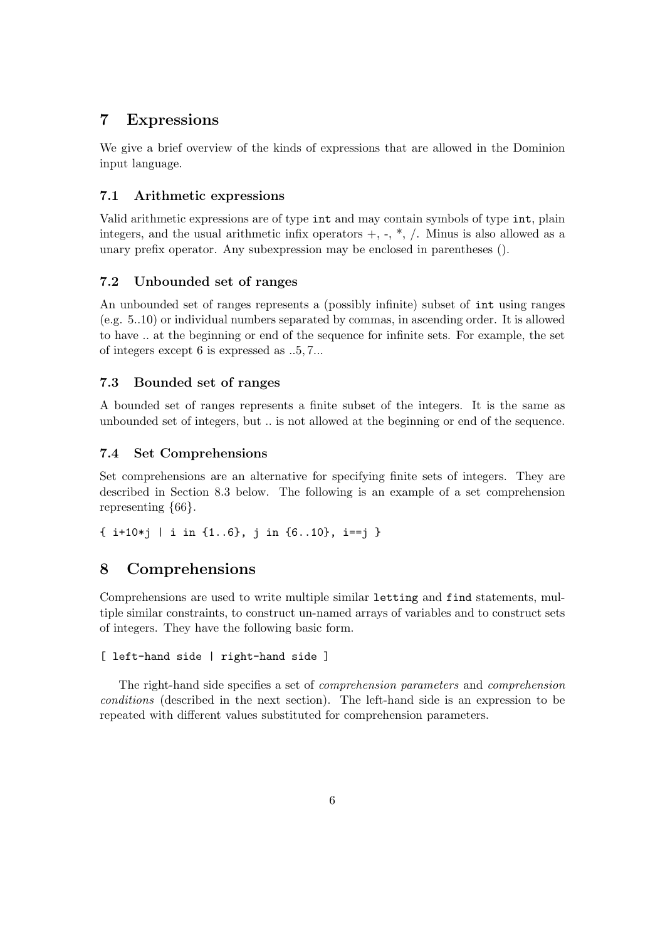# 7 Expressions

We give a brief overview of the kinds of expressions that are allowed in the Dominion input language.

### 7.1 Arithmetic expressions

Valid arithmetic expressions are of type int and may contain symbols of type int, plain integers, and the usual arithmetic infix operators  $+$ ,  $-$ ,  $*$ ,  $/$ . Minus is also allowed as a unary prefix operator. Any subexpression may be enclosed in parentheses ().

### 7.2 Unbounded set of ranges

An unbounded set of ranges represents a (possibly infinite) subset of int using ranges (e.g. 5..10) or individual numbers separated by commas, in ascending order. It is allowed to have .. at the beginning or end of the sequence for infinite sets. For example, the set of integers except 6 is expressed as ..5, 7...

#### 7.3 Bounded set of ranges

A bounded set of ranges represents a finite subset of the integers. It is the same as unbounded set of integers, but .. is not allowed at the beginning or end of the sequence.

#### 7.4 Set Comprehensions

Set comprehensions are an alternative for specifying finite sets of integers. They are described in Section 8.3 below. The following is an example of a set comprehension representing {66}.

 $\{ i+10*i \mid i \text{ in } \{1..6\}, i \text{ in } \{6..10\}, i==i \}$ 

### 8 Comprehensions

Comprehensions are used to write multiple similar letting and find statements, multiple similar constraints, to construct un-named arrays of variables and to construct sets of integers. They have the following basic form.

```
[ left-hand side | right-hand side ]
```
The right-hand side specifies a set of comprehension parameters and comprehension conditions (described in the next section). The left-hand side is an expression to be repeated with different values substituted for comprehension parameters.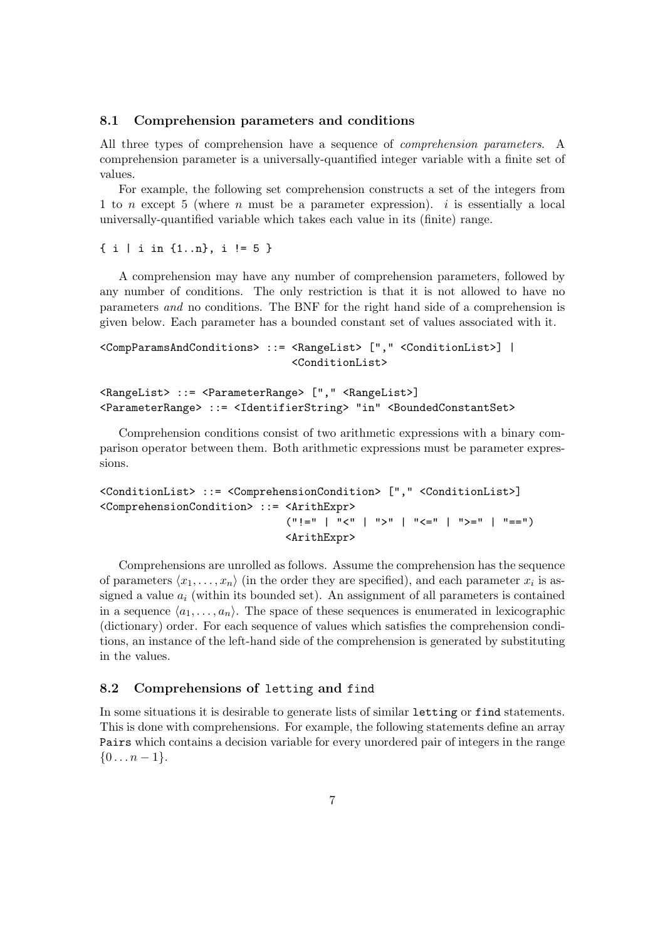#### 8.1 Comprehension parameters and conditions

All three types of comprehension have a sequence of comprehension parameters. A comprehension parameter is a universally-quantified integer variable with a finite set of values.

For example, the following set comprehension constructs a set of the integers from 1 to n except 5 (where n must be a parameter expression). i is essentially a local universally-quantified variable which takes each value in its (finite) range.

{ i | i in {1..n}, i != 5 }

A comprehension may have any number of comprehension parameters, followed by any number of conditions. The only restriction is that it is not allowed to have no parameters and no conditions. The BNF for the right hand side of a comprehension is given below. Each parameter has a bounded constant set of values associated with it.

```
<CompParamsAndConditions> ::= <RangeList> ["," <ConditionList>] |
                              <ConditionList>
```

```
<RangeList> ::= <ParameterRange> ["," <RangeList>]
<ParameterRange> ::= <IdentifierString> "in" <BoundedConstantSet>
```
Comprehension conditions consist of two arithmetic expressions with a binary comparison operator between them. Both arithmetic expressions must be parameter expressions.

```
<ConditionList> ::= <ComprehensionCondition> ["," <ConditionList>]
<ComprehensionCondition> ::= <ArithExpr>
                             ("!=" | "<" | ">" | "<=" | ">=" | "==")<ArithExpr>
```
Comprehensions are unrolled as follows. Assume the comprehension has the sequence of parameters  $\langle x_1, \ldots, x_n \rangle$  (in the order they are specified), and each parameter  $x_i$  is assigned a value  $a_i$  (within its bounded set). An assignment of all parameters is contained in a sequence  $\langle a_1, \ldots, a_n \rangle$ . The space of these sequences is enumerated in lexicographic (dictionary) order. For each sequence of values which satisfies the comprehension conditions, an instance of the left-hand side of the comprehension is generated by substituting in the values.

### 8.2 Comprehensions of letting and find

In some situations it is desirable to generate lists of similar letting or find statements. This is done with comprehensions. For example, the following statements define an array Pairs which contains a decision variable for every unordered pair of integers in the range  ${0 \dots n-1}.$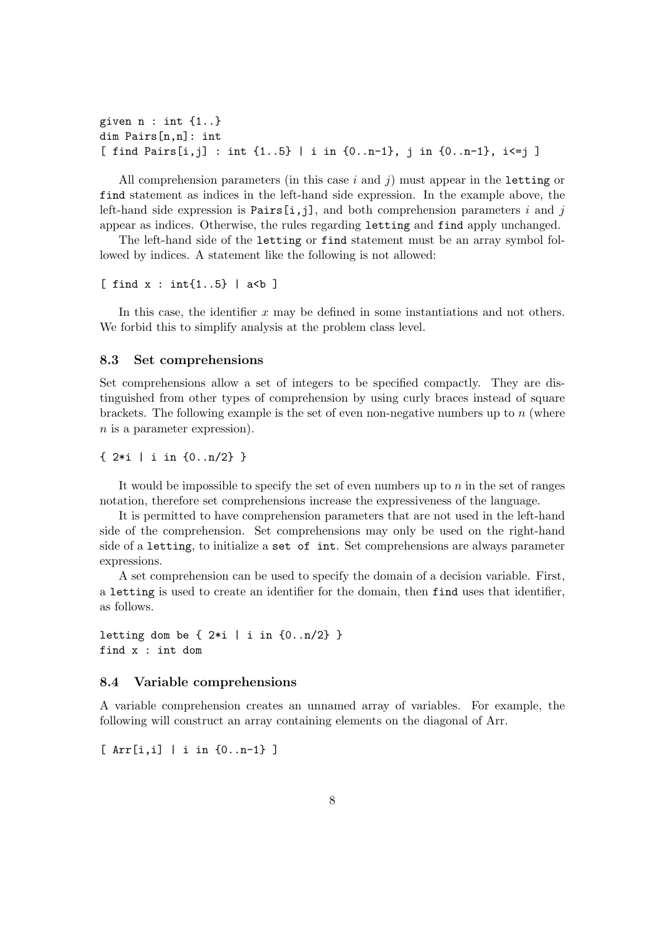```
given n : int {1..}
dim Pairs[n,n]: int
[ find Pairs[i,j] : int {1..5} | i in {0..n-1}, j in {0..n-1}, i<=j ]
```
All comprehension parameters (in this case  $i$  and  $j$ ) must appear in the letting or find statement as indices in the left-hand side expression. In the example above, the left-hand side expression is  $Pairs[i,j]$ , and both comprehension parameters i and j appear as indices. Otherwise, the rules regarding letting and find apply unchanged.

The left-hand side of the letting or find statement must be an array symbol followed by indices. A statement like the following is not allowed:

```
[ find x : int{1..5} | a<br/>b ]
```
In this case, the identifier  $x$  may be defined in some instantiations and not others. We forbid this to simplify analysis at the problem class level.

#### 8.3 Set comprehensions

Set comprehensions allow a set of integers to be specified compactly. They are distinguished from other types of comprehension by using curly braces instead of square brackets. The following example is the set of even non-negative numbers up to  $n$  (where n is a parameter expression).

{ 2\*i | i in {0..n/2} }

It would be impossible to specify the set of even numbers up to  $n$  in the set of ranges notation, therefore set comprehensions increase the expressiveness of the language.

It is permitted to have comprehension parameters that are not used in the left-hand side of the comprehension. Set comprehensions may only be used on the right-hand side of a letting, to initialize a set of int. Set comprehensions are always parameter expressions.

A set comprehension can be used to specify the domain of a decision variable. First, a letting is used to create an identifier for the domain, then find uses that identifier, as follows.

letting dom be  $\{2*i \mid i in \{0..n/2\}\}\$ find x : int dom

#### 8.4 Variable comprehensions

A variable comprehension creates an unnamed array of variables. For example, the following will construct an array containing elements on the diagonal of Arr.

[ Arr[i,i] | i in {0..n-1} ]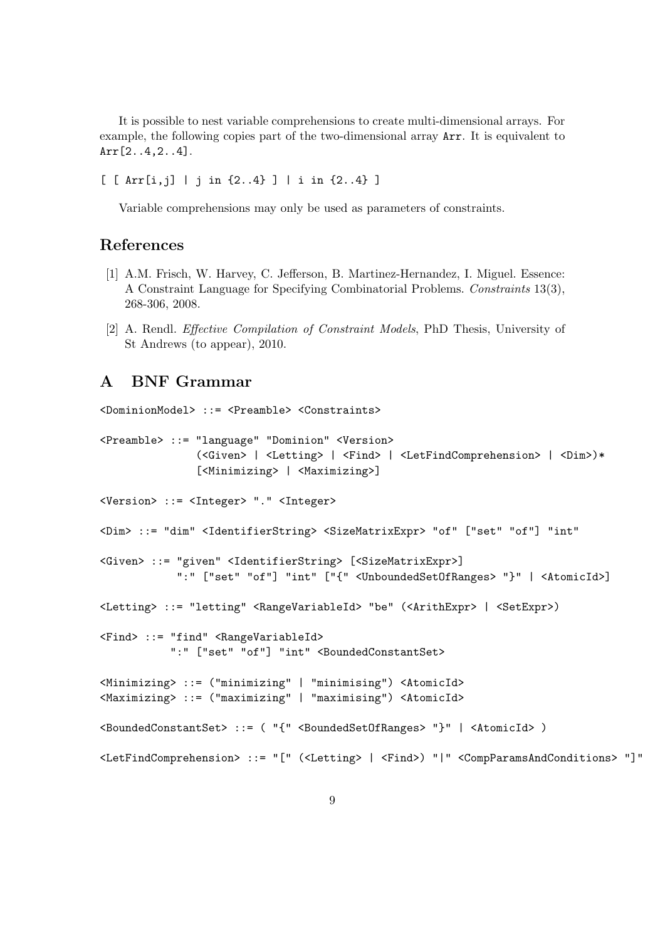It is possible to nest variable comprehensions to create multi-dimensional arrays. For example, the following copies part of the two-dimensional array Arr. It is equivalent to Arr[2..4,2..4].

[ [ Arr[i,j] | j in {2..4} ] | i in {2..4} ]

Variable comprehensions may only be used as parameters of constraints.

### References

- [1] A.M. Frisch, W. Harvey, C. Jefferson, B. Martinez-Hernandez, I. Miguel. Essence: A Constraint Language for Specifying Combinatorial Problems. Constraints 13(3), 268-306, 2008.
- [2] A. Rendl. Effective Compilation of Constraint Models, PhD Thesis, University of St Andrews (to appear), 2010.

### A BNF Grammar

<DominionModel> ::= <Preamble> <Constraints> <Preamble> ::= "language" "Dominion" <Version> (<Given> | <Letting> | <Find> | <LetFindComprehension> | <Dim>)\* [<Minimizing> | <Maximizing>]

<Version> ::= <Integer> "." <Integer>

<Dim> ::= "dim" <IdentifierString> <SizeMatrixExpr> "of" ["set" "of"] "int"

```
<Given> ::= "given" <IdentifierString> [<SizeMatrixExpr>]
            ":" ["set" "of"] "int" ["{" <UnboundedSetOfRanges> "}" | <AtomicId>]
```
<Letting> ::= "letting" <RangeVariableId> "be" (<ArithExpr> | <SetExpr>)

```
<Find> ::= "find" <RangeVariableId>
           ":" ["set" "of"] "int" <BoundedConstantSet>
```

```
<Minimizing> ::= ("minimizing" | "minimising") <AtomicId>
<Maximizing> ::= ("maximizing" | "maximising") <AtomicId>
```
<BoundedConstantSet> ::= ( "{" <BoundedSetOfRanges> "}" | <AtomicId> )

```
<LetFindComprehension> ::= "[" (<Letting> | <Find>) "|" <CompParamsAndConditions> "]"
```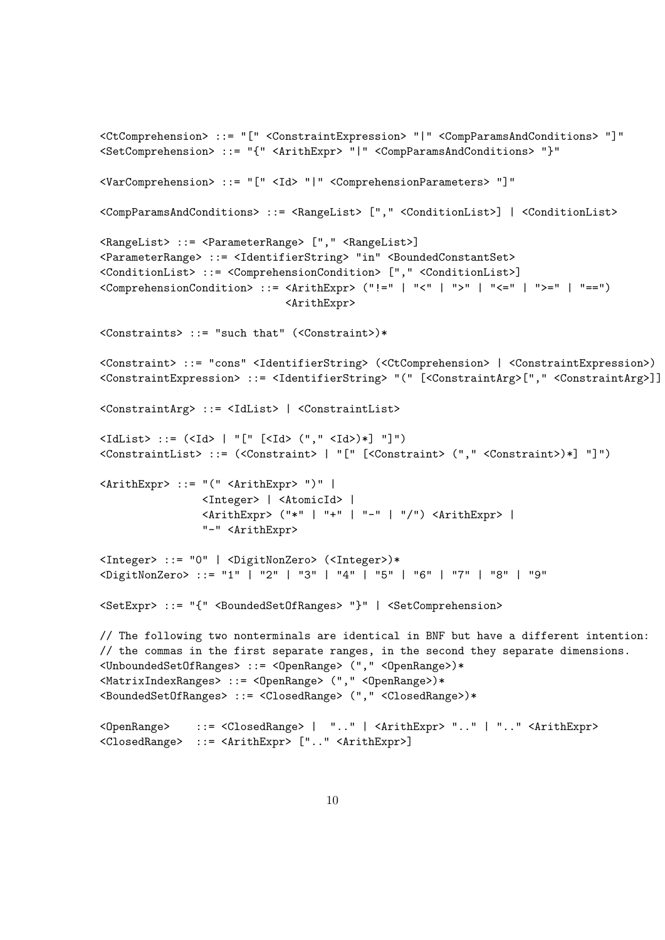```
<CtComprehension> ::= "[" <ConstraintExpression> "|" <CompParamsAndConditions> "]"
<SetComprehension> ::= "{" <ArithExpr> "|" <CompParamsAndConditions> "}"
<VarComprehension> ::= "[" <Id> "|" <ComprehensionParameters> "]"
<CompParamsAndConditions> ::= <RangeList> ["," <ConditionList>] | <ConditionList>
<RangeList> ::= <ParameterRange> ["," <RangeList>]
<ParameterRange> ::= <IdentifierString> "in" <BoundedConstantSet>
<ConditionList> ::= <ComprehensionCondition> ["," <ConditionList>]
\langle \text{ComprehensionCondition} \rangle ::= \langle \text{ArithExpr} \rangle ("!=" | "<" | ">" | "<=" | ">=" | "==")
                              <ArithExpr>
<Constraints> ::= "such that" (<Constraint>)*
<Constraint> ::= "cons" <IdentifierString> (<CtComprehension> | <ConstraintExpression>)
<ConstraintExpression> ::= <IdentifierString> "(" [<ConstraintArg>["," <ConstraintArg>]] ")"
<ConstraintArg> ::= <IdList> | <ConstraintList>
\langleIdList> ::= (\langleId> | "[" [<Id> (\because," <Id>)*] "]")
<ConstraintList> ::= (<Constraint> | "[" [<Constraint> ("," <Constraint>)*] "]")
<ArithExpr> ::= "(" <ArithExpr> ")" |
                <Integer> | <AtomicId> |
                <ArithExpr> ("*" | "+" | "-" | "/") <ArithExpr> |
                "-" <ArithExpr>
<Integer> ::= "0" | <DigitNonZero> (<Integer>)*
<DigitNonZero> ::= "1" | "2" | "3" | "4" | "5" | "6" | "7" | "8" | "9"
<SetExpr> ::= "{" <BoundedSetOfRanges> "}" | <SetComprehension>
// The following two nonterminals are identical in BNF but have a different intention:
// the commas in the first separate ranges, in the second they separate dimensions.
<UnboundedSetOfRanges> ::= <OpenRange> ("," <OpenRange>)*
<MatrixIndexRanges> ::= <OpenRange> ("," <OpenRange>)*
<BoundedSetOfRanges> ::= <ClosedRange> ("," <ClosedRange>)*
<OpenRange> ::= <ClosedRange> | ".." | <ArithExpr> ".." | ".." <ArithExpr>
<ClosedRange> ::= <ArithExpr> [".." <ArithExpr>]
```